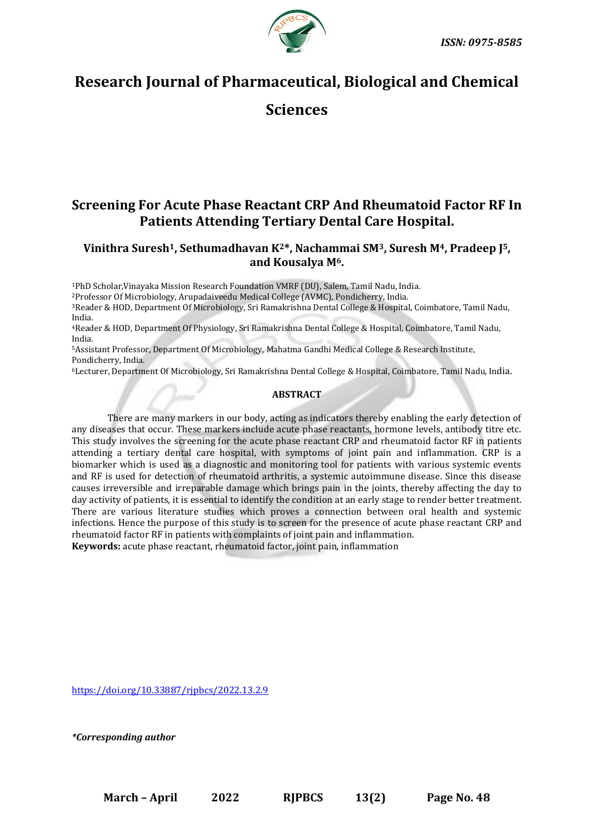



# **Research Journal of Pharmaceutical, Biological and Chemical**

**Sciences**

## **Screening For Acute Phase Reactant CRP And Rheumatoid Factor RF In Patients Attending Tertiary Dental Care Hospital.**

## **Vinithra Suresh1, Sethumadhavan K2\*, Nachammai SM3, Suresh M4, Pradeep J5, and Kousalya M6.**

<sup>1</sup>PhD Scholar,Vinayaka Mission Research Foundation VMRF (DU), Salem, Tamil Nadu, India.

<sup>2</sup>Professor Of Microbiology, Arupadaiveedu Medical College (AVMC), Pondicherry, India.

<sup>3</sup>Reader & HOD, Department Of Microbiology, Sri Ramakrishna Dental College & Hospital, Coimbatore, Tamil Nadu, India.

<sup>4</sup>Reader & HOD, Department Of Physiology, Sri Ramakrishna Dental College & Hospital, Coimbatore, Tamil Nadu, India.

<sup>5</sup>Assistant Professor, Department Of Microbiology, Mahatma Gandhi Medical College & Research Institute, Pondicherry, India.

<sup>6</sup>Lecturer, Department Of Microbiology, Sri Ramakrishna Dental College & Hospital, Coimbatore, Tamil Nadu, India.

### **ABSTRACT**

There are many markers in our body, acting as indicators thereby enabling the early detection of any diseases that occur. These markers include acute phase reactants, hormone levels, antibody titre etc. This study involves the screening for the acute phase reactant CRP and rheumatoid factor RF in patients attending a tertiary dental care hospital, with symptoms of joint pain and inflammation. CRP is a biomarker which is used as a diagnostic and monitoring tool for patients with various systemic events and RF is used for detection of rheumatoid arthritis, a systemic autoimmune disease. Since this disease causes irreversible and irreparable damage which brings pain in the joints, thereby affecting the day to day activity of patients, it is essential to identify the condition at an early stage to render better treatment. There are various literature studies which proves a connection between oral health and systemic infections. Hence the purpose of this study is to screen for the presence of acute phase reactant CRP and rheumatoid factor RF in patients with complaints of joint pain and inflammation. **Keywords:** acute phase reactant, rheumatoid factor, joint pain, inflammation

<https://doi.org/10.33887/rjpbcs/2022.13.2.9>

*\*Corresponding author*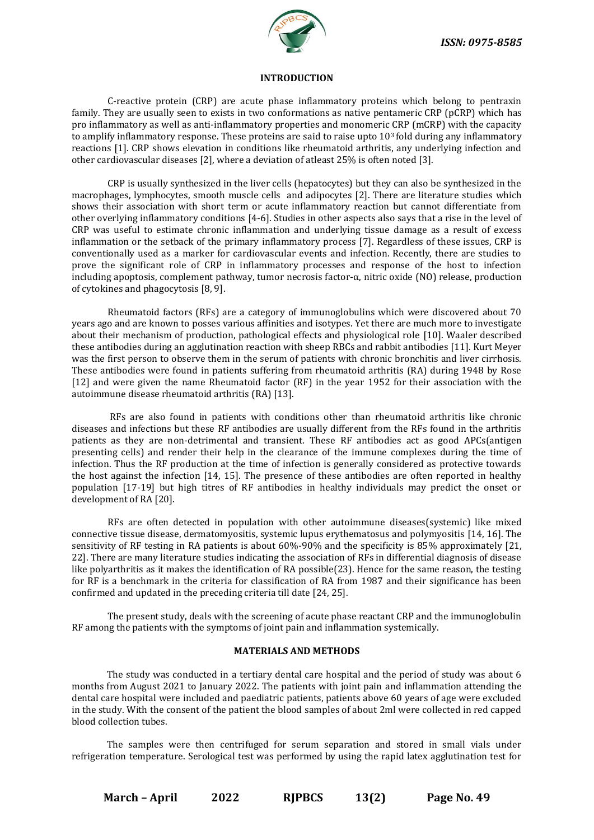

#### **INTRODUCTION**

C-reactive protein (CRP) are acute phase inflammatory proteins which belong to pentraxin family. They are usually seen to exists in two conformations as native pentameric CRP (pCRP) which has pro inflammatory as well as anti-inflammatory properties and monomeric CRP (mCRP) with the capacity to amplify inflammatory response. These proteins are said to raise upto  $10<sup>3</sup>$  fold during any inflammatory reactions [1]. CRP shows elevation in conditions like rheumatoid arthritis, any underlying infection and other cardiovascular diseases [2], where a deviation of atleast 25% is often noted [3].

CRP is usually synthesized in the liver cells (hepatocytes) but they can also be synthesized in the macrophages, lymphocytes, smooth muscle cells and adipocytes [2]. There are literature studies which shows their association with short term or acute inflammatory reaction but cannot differentiate from other overlying inflammatory conditions [4-6]. Studies in other aspects also says that a rise in the level of CRP was useful to estimate chronic inflammation and underlying tissue damage as a result of excess inflammation or the setback of the primary inflammatory process [7]. Regardless of these issues, CRP is conventionally used as a marker for cardiovascular events and infection. Recently, there are studies to prove the significant role of CRP in inflammatory processes and response of the host to infection including apoptosis, complement pathway, tumor necrosis factor-α, nitric oxide (NO) release, production of cytokines and phagocytosis [8, 9].

Rheumatoid factors (RFs) are a category of immunoglobulins which were discovered about 70 years ago and are known to posses various affinities and isotypes. Yet there are much more to investigate about their mechanism of production, pathological effects and physiological role [10]. Waaler described these antibodies during an agglutination reaction with sheep RBCs and rabbit antibodies [11]. Kurt Meyer was the first person to observe them in the serum of patients with chronic bronchitis and liver cirrhosis. These antibodies were found in patients suffering from rheumatoid arthritis (RA) during 1948 by Rose [12] and were given the name Rheumatoid factor (RF) in the year 1952 for their association with the autoimmune disease rheumatoid arthritis (RA) [13].

RFs are also found in patients with conditions other than rheumatoid arthritis like chronic diseases and infections but these RF antibodies are usually different from the RFs found in the arthritis patients as they are non-detrimental and transient. These RF antibodies act as good APCs(antigen presenting cells) and render their help in the clearance of the immune complexes during the time of infection. Thus the RF production at the time of infection is generally considered as protective towards the host against the infection [14, 15]. The presence of these antibodies are often reported in healthy population [17-19] but high titres of RF antibodies in healthy individuals may predict the onset or development of RA [20].

RFs are often detected in population with other autoimmune diseases(systemic) like mixed connective tissue disease, dermatomyositis, systemic lupus erythematosus and polymyositis [14, 16]. The sensitivity of RF testing in RA patients is about 60%-90% and the specificity is 85% approximately [21, 22]. There are many literature studies indicating the association of RFs in differential diagnosis of disease like polyarthritis as it makes the identification of RA possible(23). Hence for the same reason, the testing for RF is a benchmark in the criteria for classification of RA from 1987 and their significance has been confirmed and updated in the preceding criteria till date [24, 25].

The present study, deals with the screening of acute phase reactant CRP and the immunoglobulin RF among the patients with the symptoms of joint pain and inflammation systemically.

## **MATERIALS AND METHODS**

The study was conducted in a tertiary dental care hospital and the period of study was about 6 months from August 2021 to January 2022. The patients with joint pain and inflammation attending the dental care hospital were included and paediatric patients, patients above 60 years of age were excluded in the study. With the consent of the patient the blood samples of about 2ml were collected in red capped blood collection tubes.

The samples were then centrifuged for serum separation and stored in small vials under refrigeration temperature. Serological test was performed by using the rapid latex agglutination test for

**March – April 2022 RJPBCS 13(2) Page No. 49**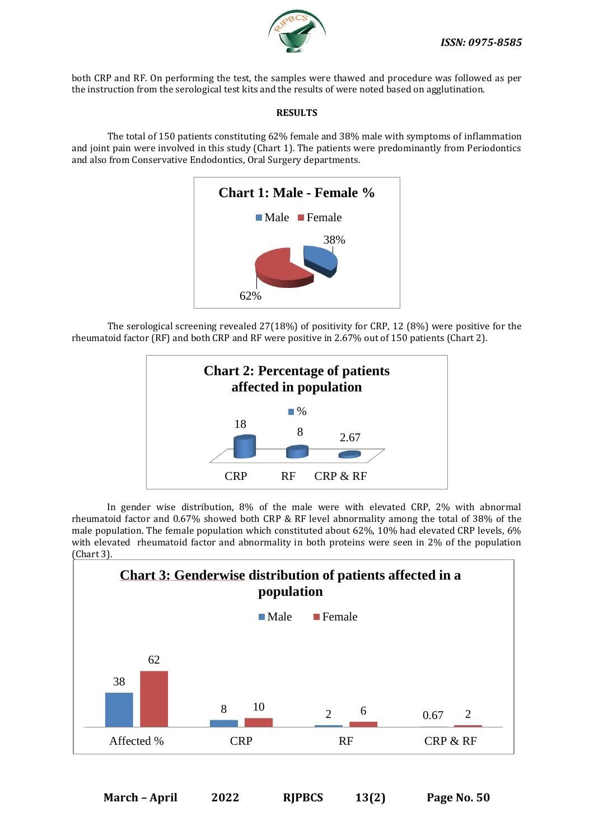

both CRP and RF. On performing the test, the samples were thawed and procedure was followed as per the instruction from the serological test kits and the results of were noted based on agglutination.

## **RESULTS**

The total of 150 patients constituting 62% female and 38% male with symptoms of inflammation and joint pain were involved in this study (Chart 1). The patients were predominantly from Periodontics and also from Conservative Endodontics, Oral Surgery departments.



The serological screening revealed 27(18%) of positivity for CRP, 12 (8%) were positive for the rheumatoid factor (RF) and both CRP and RF were positive in 2.67% out of 150 patients (Chart 2).



In gender wise distribution, 8% of the male were with elevated CRP, 2% with abnormal rheumatoid factor and 0.67% showed both CRP & RF level abnormality among the total of 38% of the male population. The female population which constituted about 62%, 10% had elevated CRP levels, 6% with elevated rheumatoid factor and abnormality in both proteins were seen in 2% of the population (Chart 3).

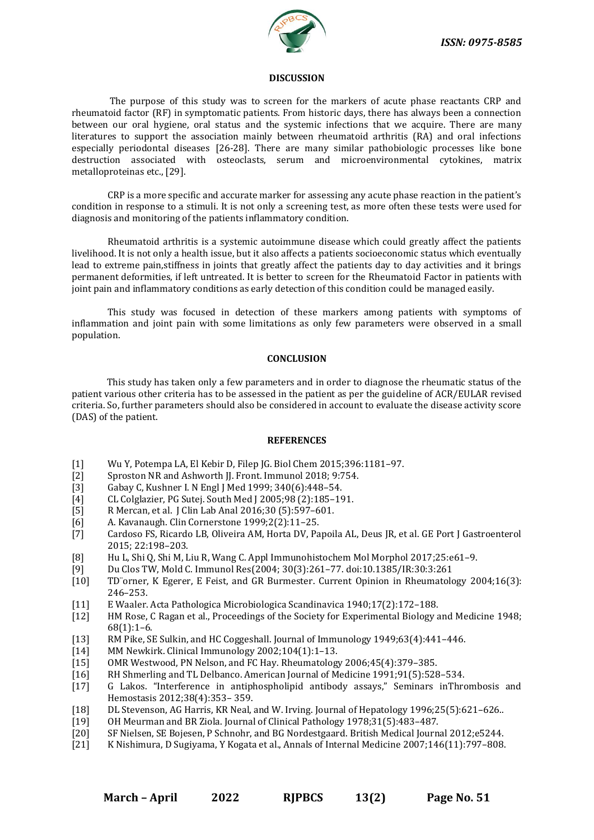

#### **DISCUSSION**

The purpose of this study was to screen for the markers of acute phase reactants CRP and rheumatoid factor (RF) in symptomatic patients. From historic days, there has always been a connection between our oral hygiene, oral status and the systemic infections that we acquire. There are many literatures to support the association mainly between rheumatoid arthritis (RA) and oral infections especially periodontal diseases [26-28]. There are many similar pathobiologic processes like bone destruction associated with osteoclasts, serum and microenvironmental cytokines, matrix metalloproteinas etc., [29].

CRP is a more specific and accurate marker for assessing any acute phase reaction in the patient's condition in response to a stimuli. It is not only a screening test, as more often these tests were used for diagnosis and monitoring of the patients inflammatory condition.

Rheumatoid arthritis is a systemic autoimmune disease which could greatly affect the patients livelihood. It is not only a health issue, but it also affects a patients socioeconomic status which eventually lead to extreme pain,stiffness in joints that greatly affect the patients day to day activities and it brings permanent deformities, if left untreated. It is better to screen for the Rheumatoid Factor in patients with joint pain and inflammatory conditions as early detection of this condition could be managed easily.

This study was focused in detection of these markers among patients with symptoms of inflammation and joint pain with some limitations as only few parameters were observed in a small population.

### **CONCLUSION**

This study has taken only a few parameters and in order to diagnose the rheumatic status of the patient various other criteria has to be assessed in the patient as per the guideline of ACR/EULAR revised criteria. So, further parameters should also be considered in account to evaluate the disease activity score (DAS) of the patient.

#### **REFERENCES**

- [1] Wu Y, Potempa LA, El Kebir D, Filep JG. Biol Chem 2015;396:1181–97.
- Sproston NR and Ashworth II. Front. Immunol 2018; 9:754.
- [3] Gabay C, Kushner I. N Engl J Med 1999; 340(6):448–54.
- [4] CL Colglazier, PG Sutej. South Med J 2005;98 (2):185–191.
- [5] R Mercan, et al. J Clin Lab Anal 2016;30 (5):597–601.
- [6] A. Kavanaugh. Clin Cornerstone 1999;2(2):11–25.
- [7] Cardoso FS, Ricardo LB, Oliveira AM, Horta DV, Papoila AL, Deus JR, et al. GE Port J Gastroenterol 2015; 22:198–203.
- [8] Hu L, Shi Q, Shi M, Liu R, Wang C. Appl Immunohistochem Mol Morphol 2017;25:e61–9.
- [9] Du Clos TW, Mold C. Immunol Res(2004; 30(3):261–77. doi:10.1385/IR:30:3:261
- [10] TD¨orner, K Egerer, E Feist, and GR Burmester. Current Opinion in Rheumatology 2004;16(3): 246–253.
- [11] E Waaler. Acta Pathologica Microbiologica Scandinavica 1940;17(2):172–188.
- [12] HM Rose, C Ragan et al., Proceedings of the Society for Experimental Biology and Medicine 1948; 68(1):1–6.
- [13] RM Pike, SE Sulkin, and HC Coggeshall. Journal of Immunology 1949;63(4):441–446.
- [14] MM Newkirk. Clinical Immunology 2002;104(1):1–13.
- [15] OMR Westwood, PN Nelson, and FC Hay. Rheumatology 2006;45(4):379–385.
- [16] RH Shmerling and TL Delbanco. American Journal of Medicine 1991;91(5):528–534.
- [17] G Lakos. "Interference in antiphospholipid antibody assays," Seminars inThrombosis and Hemostasis 2012;38(4):353– 359.
- [18] DL Stevenson, AG Harris, KR Neal, and W. Irving. Journal of Hepatology 1996;25(5):621–626..
- [19] OH Meurman and BR Ziola. Journal of Clinical Pathology 1978;31(5):483–487.
- [20] SF Nielsen, SE Bojesen, P Schnohr, and BG Nordestgaard. British Medical Journal 2012;e5244.
- [21] K Nishimura, D Sugiyama, Y Kogata et al., Annals of Internal Medicine 2007;146(11):797–808.

**March – April 2022 RJPBCS 13(2) Page No. 51**